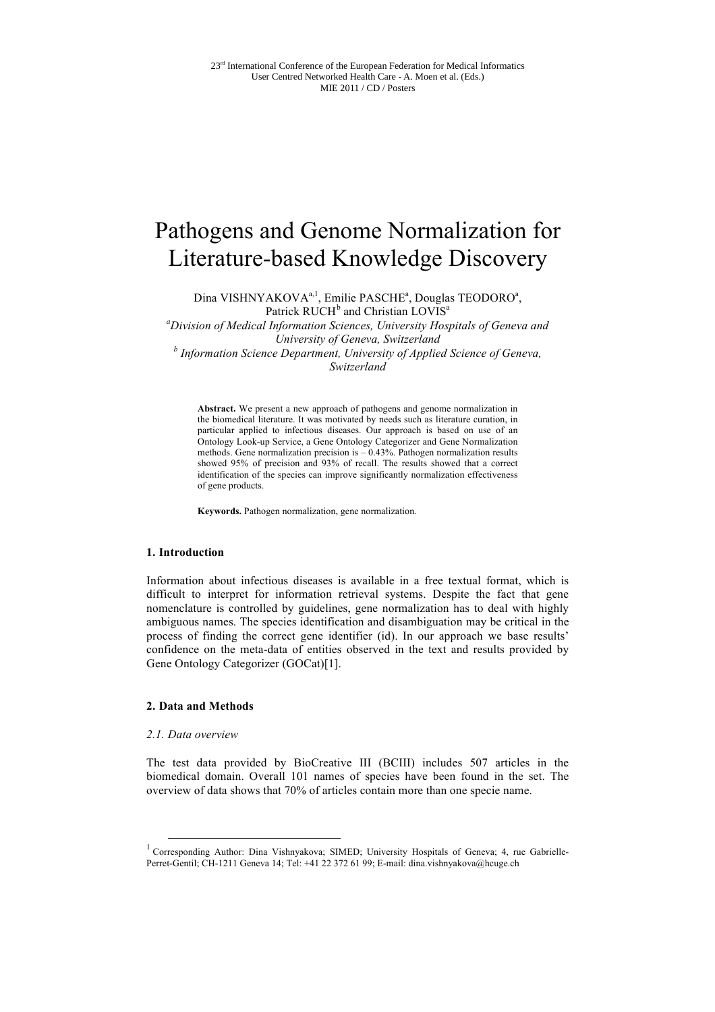# Pathogens and Genome Normalization for Literature-based Knowledge Discovery

Dina VISHNYAKOVA<sup>a, 1</sup>, Emilie PASCHE<sup>a</sup>, Douglas TEODORO<sup>a</sup>, Patrick RUCH<sup>b</sup> and Christian LOVIS<sup>a</sup>

*a Division of Medical Information Sciences, University Hospitals of Geneva and University of Geneva, Switzerland b Information Science Department, University of Applied Science of Geneva, Switzerland*

**Abstract.** We present a new approach of pathogens and genome normalization in the biomedical literature. It was motivated by needs such as literature curation, in particular applied to infectious diseases. Our approach is based on use of an Ontology Look-up Service, a Gene Ontology Categorizer and Gene Normalization methods. Gene normalization precision is  $-0.43\%$ . Pathogen normalization results showed 95% of precision and 93% of recall. The results showed that a correct identification of the species can improve significantly normalization effectiveness of gene products.

**Keywords.** Pathogen normalization, gene normalization.

#### **1. Introduction**

Information about infectious diseases is available in a free textual format, which is difficult to interpret for information retrieval systems. Despite the fact that gene nomenclature is controlled by guidelines, gene normalization has to deal with highly ambiguous names. The species identification and disambiguation may be critical in the process of finding the correct gene identifier (id). In our approach we base results' confidence on the meta-data of entities observed in the text and results provided by Gene Ontology Categorizer (GOCat)[1].

# **2. Data and Methods**

## *2.1. Data overview*

The test data provided by BioCreative III (BCIII) includes 507 articles in the biomedical domain. Overall 101 names of species have been found in the set. The overview of data shows that 70% of articles contain more than one specie name.

<sup>1&</sup>lt;br>
<sup>1</sup> Corresponding Author: Dina Vishnyakova; SIMED; University Hospitals of Geneva; 4, rue Gabrielle-Perret-Gentil; CH-1211 Geneva 14; Tel: +41 22 372 61 99; E-mail: dina.vishnyakova@hcuge.ch